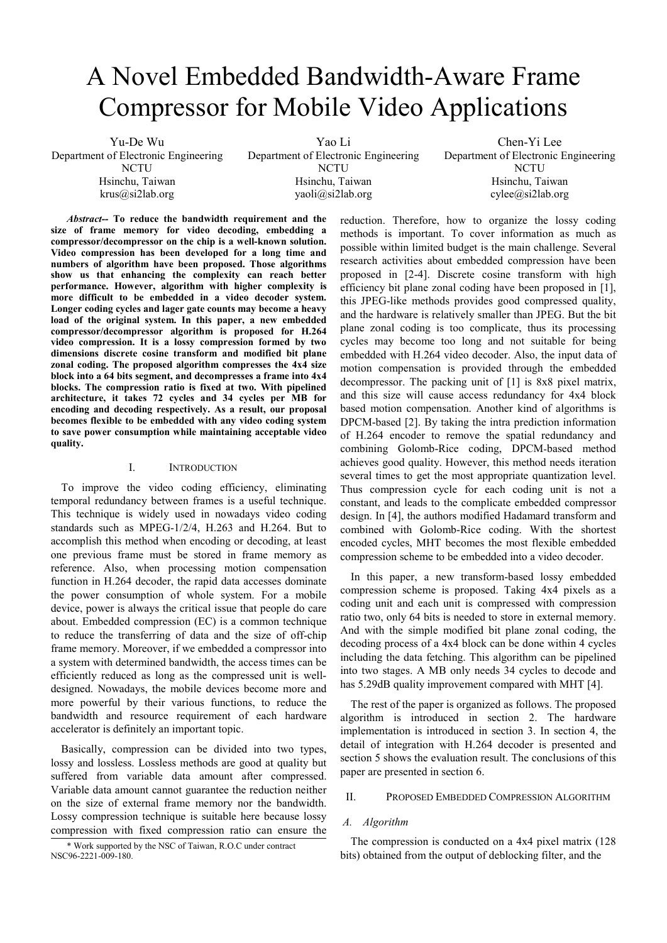# A Novel Embedded Bandwidth-Aware Frame Compressor for Mobile Video Applications

Yu-De Wu Department of Electronic Engineering **NCTU** Hsinchu, Taiwan krus@si2lab.org Yao Li Department of Electronic Engineering **NCTU** Hsinchu, Taiwan yaoli@si2lab.org Chen-Yi Lee Department of Electronic Engineering NCTU Hsinchu, Taiwan cylee@si2lab.org

*Abstract--* **To reduce the bandwidth requirement and the size of frame memory for video decoding, embedding a compressor/decompressor on the chip is a well-known solution. Video compression has been developed for a long time and numbers of algorithm have been proposed. Those algorithms show us that enhancing the complexity can reach better performance. However, algorithm with higher complexity is more difficult to be embedded in a video decoder system. Longer coding cycles and lager gate counts may become a heavy load of the original system. In this paper, a new embedded compressor/decompressor algorithm is proposed for H.264 video compression. It is a lossy compression formed by two dimensions discrete cosine transform and modified bit plane zonal coding. The proposed algorithm compresses the 4x4 size block into a 64 bits segment, and decompresses a frame into 4x4 blocks. The compression ratio is fixed at two. With pipelined architecture, it takes 72 cycles and 34 cycles per MB for encoding and decoding respectively. As a result, our proposal becomes flexible to be embedded with any video coding system to save power consumption while maintaining acceptable video quality.** 

## I. INTRODUCTION

To improve the video coding efficiency, eliminating temporal redundancy between frames is a useful technique. This technique is widely used in nowadays video coding standards such as MPEG-1/2/4, H.263 and H.264. But to accomplish this method when encoding or decoding, at least one previous frame must be stored in frame memory as reference. Also, when processing motion compensation function in H.264 decoder, the rapid data accesses dominate the power consumption of whole system. For a mobile device, power is always the critical issue that people do care about. Embedded compression (EC) is a common technique to reduce the transferring of data and the size of off-chip frame memory. Moreover, if we embedded a compressor into a system with determined bandwidth, the access times can be efficiently reduced as long as the compressed unit is welldesigned. Nowadays, the mobile devices become more and more powerful by their various functions, to reduce the bandwidth and resource requirement of each hardware accelerator is definitely an important topic.

Basically, compression can be divided into two types, lossy and lossless. Lossless methods are good at quality but suffered from variable data amount after compressed. Variable data amount cannot guarantee the reduction neither on the size of external frame memory nor the bandwidth. Lossy compression technique is suitable here because lossy compression with fixed compression ratio can ensure the

\* Work supported by the NSC of Taiwan, R.O.C under contract NSC96-2221-009-180.

reduction. Therefore, how to organize the lossy coding methods is important. To cover information as much as possible within limited budget is the main challenge. Several research activities about embedded compression have been proposed in [2-4]. Discrete cosine transform with high efficiency bit plane zonal coding have been proposed in [1], this JPEG-like methods provides good compressed quality, and the hardware is relatively smaller than JPEG. But the bit plane zonal coding is too complicate, thus its processing cycles may become too long and not suitable for being embedded with H.264 video decoder. Also, the input data of motion compensation is provided through the embedded decompressor. The packing unit of [1] is 8x8 pixel matrix, and this size will cause access redundancy for 4x4 block based motion compensation. Another kind of algorithms is DPCM-based [2]. By taking the intra prediction information of H.264 encoder to remove the spatial redundancy and combining Golomb-Rice coding, DPCM-based method achieves good quality. However, this method needs iteration several times to get the most appropriate quantization level. Thus compression cycle for each coding unit is not a constant, and leads to the complicate embedded compressor design. In [4], the authors modified Hadamard transform and combined with Golomb-Rice coding. With the shortest encoded cycles, MHT becomes the most flexible embedded compression scheme to be embedded into a video decoder.

In this paper, a new transform-based lossy embedded compression scheme is proposed. Taking 4x4 pixels as a coding unit and each unit is compressed with compression ratio two, only 64 bits is needed to store in external memory. And with the simple modified bit plane zonal coding, the decoding process of a 4x4 block can be done within 4 cycles including the data fetching. This algorithm can be pipelined into two stages. A MB only needs 34 cycles to decode and has 5.29dB quality improvement compared with MHT [4].

The rest of the paper is organized as follows. The proposed algorithm is introduced in section 2. The hardware implementation is introduced in section 3. In section 4, the detail of integration with H.264 decoder is presented and section 5 shows the evaluation result. The conclusions of this paper are presented in section 6.

### II. PROPOSED EMBEDDED COMPRESSION ALGORITHM

### *A. Algorithm*

The compression is conducted on a 4x4 pixel matrix (128 bits) obtained from the output of deblocking filter, and the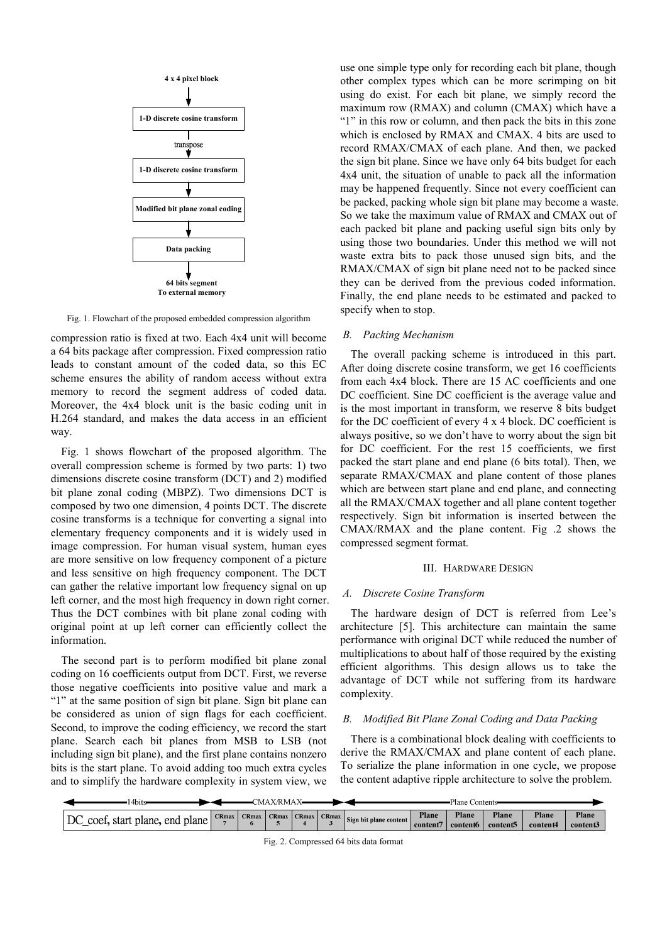

Fig. 1. Flowchart of the proposed embedded compression algorithm

compression ratio is fixed at two. Each 4x4 unit will become a 64 bits package after compression. Fixed compression ratio leads to constant amount of the coded data, so this EC scheme ensures the ability of random access without extra memory to record the segment address of coded data. Moreover, the 4x4 block unit is the basic coding unit in H.264 standard, and makes the data access in an efficient way.

Fig. 1 shows flowchart of the proposed algorithm. The overall compression scheme is formed by two parts: 1) two dimensions discrete cosine transform (DCT) and 2) modified bit plane zonal coding (MBPZ). Two dimensions DCT is composed by two one dimension, 4 points DCT. The discrete cosine transforms is a technique for converting a signal into elementary frequency components and it is widely used in image compression. For human visual system, human eyes are more sensitive on low frequency component of a picture and less sensitive on high frequency component. The DCT can gather the relative important low frequency signal on up left corner, and the most high frequency in down right corner. Thus the DCT combines with bit plane zonal coding with original point at up left corner can efficiently collect the information.

The second part is to perform modified bit plane zonal coding on 16 coefficients output from DCT. First, we reverse those negative coefficients into positive value and mark a "1" at the same position of sign bit plane. Sign bit plane can be considered as union of sign flags for each coefficient. Second, to improve the coding efficiency, we record the start plane. Search each bit planes from MSB to LSB (not including sign bit plane), and the first plane contains nonzero bits is the start plane. To avoid adding too much extra cycles and to simplify the hardware complexity in system view, we

use one simple type only for recording each bit plane, though other complex types which can be more scrimping on bit using do exist. For each bit plane, we simply record the maximum row (RMAX) and column (CMAX) which have a "1" in this row or column, and then pack the bits in this zone which is enclosed by RMAX and CMAX. 4 bits are used to record RMAX/CMAX of each plane. And then, we packed the sign bit plane. Since we have only 64 bits budget for each 4x4 unit, the situation of unable to pack all the information may be happened frequently. Since not every coefficient can be packed, packing whole sign bit plane may become a waste. So we take the maximum value of RMAX and CMAX out of each packed bit plane and packing useful sign bits only by using those two boundaries. Under this method we will not waste extra bits to pack those unused sign bits, and the RMAX/CMAX of sign bit plane need not to be packed since they can be derived from the previous coded information. Finally, the end plane needs to be estimated and packed to specify when to stop.

## *B. Packing Mechanism*

The overall packing scheme is introduced in this part. After doing discrete cosine transform, we get 16 coefficients from each 4x4 block. There are 15 AC coefficients and one DC coefficient. Sine DC coefficient is the average value and is the most important in transform, we reserve 8 bits budget for the DC coefficient of every 4 x 4 block. DC coefficient is always positive, so we don't have to worry about the sign bit for DC coefficient. For the rest 15 coefficients, we first packed the start plane and end plane (6 bits total). Then, we separate RMAX/CMAX and plane content of those planes which are between start plane and end plane, and connecting all the RMAX/CMAX together and all plane content together respectively. Sign bit information is inserted between the CMAX/RMAX and the plane content. Fig .2 shows the compressed segment format.

## III. HARDWARE DESIGN

## *A. Discrete Cosine Transform*

The hardware design of DCT is referred from Lee's architecture [5]. This architecture can maintain the same performance with original DCT while reduced the number of multiplications to about half of those required by the existing efficient algorithms. This design allows us to take the advantage of DCT while not suffering from its hardware complexity.

## *B. Modified Bit Plane Zonal Coding and Data Packing*

There is a combinational block dealing with coefficients to derive the RMAX/CMAX and plane content of each plane. To serialize the plane information in one cycle, we propose the content adaptive ripple architecture to solve the problem.

| 4bits                              |              | CMAX/RMAX |  |                                                                                                                                                               |          | Plane Contents    |                   |                   |                   |
|------------------------------------|--------------|-----------|--|---------------------------------------------------------------------------------------------------------------------------------------------------------------|----------|-------------------|-------------------|-------------------|-------------------|
| DC<br>coef, start plane, end plane | <b>CRmax</b> |           |  | $\left\lceil \frac{1}{2} \right\rceil$ CRmax CRmax $\left\lceil \frac{1}{2} \right\rceil$ CRmax $\left\lceil \frac{1}{2} \right\rceil$ Sign bit plane content | content7 | Plane<br>content6 | Plane<br>content5 | Plane<br>content4 | Plane<br>content3 |

Fig. 2. Compressed 64 bits data format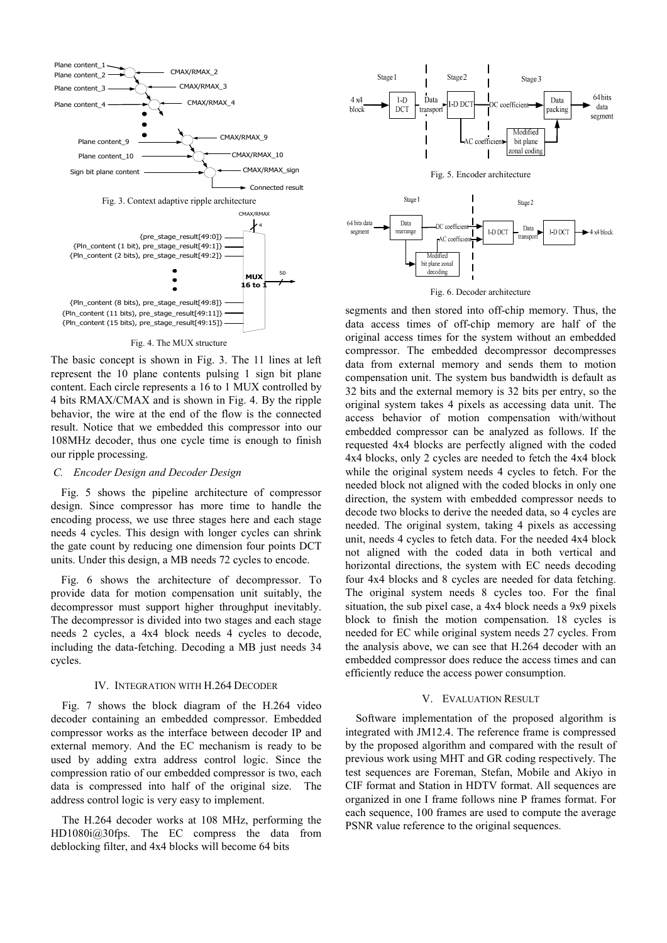

Fig. 4. The MUX structure

The basic concept is shown in Fig. 3. The 11 lines at left represent the 10 plane contents pulsing 1 sign bit plane content. Each circle represents a 16 to 1 MUX controlled by 4 bits RMAX/CMAX and is shown in Fig. 4. By the ripple behavior, the wire at the end of the flow is the connected result. Notice that we embedded this compressor into our 108MHz decoder, thus one cycle time is enough to finish our ripple processing.

# *C. Encoder Design and Decoder Design*

Fig. 5 shows the pipeline architecture of compressor design. Since compressor has more time to handle the encoding process, we use three stages here and each stage needs 4 cycles. This design with longer cycles can shrink the gate count by reducing one dimension four points DCT units. Under this design, a MB needs 72 cycles to encode.

Fig. 6 shows the architecture of decompressor. To provide data for motion compensation unit suitably, the decompressor must support higher throughput inevitably. The decompressor is divided into two stages and each stage needs 2 cycles, a 4x4 block needs 4 cycles to decode, including the data-fetching. Decoding a MB just needs 34 cycles.

## IV. INTEGRATION WITH H.264 DECODER

Fig. 7 shows the block diagram of the H.264 video decoder containing an embedded compressor. Embedded compressor works as the interface between decoder IP and external memory. And the EC mechanism is ready to be used by adding extra address control logic. Since the compression ratio of our embedded compressor is two, each data is compressed into half of the original size. The address control logic is very easy to implement.

The H.264 decoder works at 108 MHz, performing the HD1080i@30fps. The EC compress the data from deblocking filter, and 4x4 blocks will become 64 bits



Fig. 6. Decoder architecture

segments and then stored into off-chip memory. Thus, the data access times of off-chip memory are half of the original access times for the system without an embedded compressor. The embedded decompressor decompresses data from external memory and sends them to motion compensation unit. The system bus bandwidth is default as 32 bits and the external memory is 32 bits per entry, so the original system takes 4 pixels as accessing data unit. The access behavior of motion compensation with/without embedded compressor can be analyzed as follows. If the requested 4x4 blocks are perfectly aligned with the coded 4x4 blocks, only 2 cycles are needed to fetch the 4x4 block while the original system needs 4 cycles to fetch. For the needed block not aligned with the coded blocks in only one direction, the system with embedded compressor needs to decode two blocks to derive the needed data, so 4 cycles are needed. The original system, taking 4 pixels as accessing unit, needs 4 cycles to fetch data. For the needed 4x4 block not aligned with the coded data in both vertical and horizontal directions, the system with EC needs decoding four 4x4 blocks and 8 cycles are needed for data fetching. The original system needs 8 cycles too. For the final situation, the sub pixel case, a 4x4 block needs a 9x9 pixels block to finish the motion compensation. 18 cycles is needed for EC while original system needs 27 cycles. From the analysis above, we can see that H.264 decoder with an embedded compressor does reduce the access times and can efficiently reduce the access power consumption.

## V. EVALUATION RESULT

Software implementation of the proposed algorithm is integrated with JM12.4. The reference frame is compressed by the proposed algorithm and compared with the result of previous work using MHT and GR coding respectively. The test sequences are Foreman, Stefan, Mobile and Akiyo in CIF format and Station in HDTV format. All sequences are organized in one I frame follows nine P frames format. For each sequence, 100 frames are used to compute the average PSNR value reference to the original sequences.